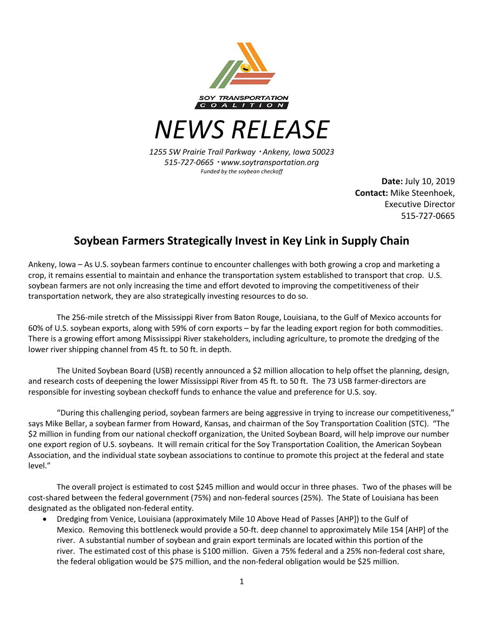

*NEWS RELEASE*

*1255 SW Prairie Trail Parkway* <sup>¬</sup> *Ankeny, Iowa 50023 515-727-0665* <sup>¬</sup> *www.soytransportation.org Funded by the soybean checkoff*

**Date:** July 10, 2019 **Contact:** Mike Steenhoek, Executive Director 515-727-0665

## **Soybean Farmers Strategically Invest in Key Link in Supply Chain**

Ankeny, Iowa – As U.S. soybean farmers continue to encounter challenges with both growing a crop and marketing a crop, it remains essential to maintain and enhance the transportation system established to transport that crop. U.S. soybean farmers are not only increasing the time and effort devoted to improving the competitiveness of their transportation network, they are also strategically investing resources to do so.

The 256-mile stretch of the Mississippi River from Baton Rouge, Louisiana, to the Gulf of Mexico accounts for 60% of U.S. soybean exports, along with 59% of corn exports – by far the leading export region for both commodities. There is a growing effort among Mississippi River stakeholders, including agriculture, to promote the dredging of the lower river shipping channel from 45 ft. to 50 ft. in depth.

The United Soybean Board (USB) recently announced a \$2 million allocation to help offset the planning, design, and research costs of deepening the lower Mississippi River from 45 ft. to 50 ft. The 73 USB farmer-directors are responsible for investing soybean checkoff funds to enhance the value and preference for U.S. soy.

"During this challenging period, soybean farmers are being aggressive in trying to increase our competitiveness," says Mike Bellar, a soybean farmer from Howard, Kansas, and chairman of the Soy Transportation Coalition (STC). "The \$2 million in funding from our national checkoff organization, the United Soybean Board, will help improve our number one export region of U.S. soybeans. It will remain critical for the Soy Transportation Coalition, the American Soybean Association, and the individual state soybean associations to continue to promote this project at the federal and state level."

The overall project is estimated to cost \$245 million and would occur in three phases. Two of the phases will be cost-shared between the federal government (75%) and non-federal sources (25%). The State of Louisiana has been designated as the obligated non-federal entity.

• Dredging from Venice, Louisiana (approximately Mile 10 Above Head of Passes [AHP]) to the Gulf of Mexico. Removing this bottleneck would provide a 50-ft. deep channel to approximately Mile 154 [AHP] of the river. A substantial number of soybean and grain export terminals are located within this portion of the river. The estimated cost of this phase is \$100 million. Given a 75% federal and a 25% non-federal cost share, the federal obligation would be \$75 million, and the non-federal obligation would be \$25 million.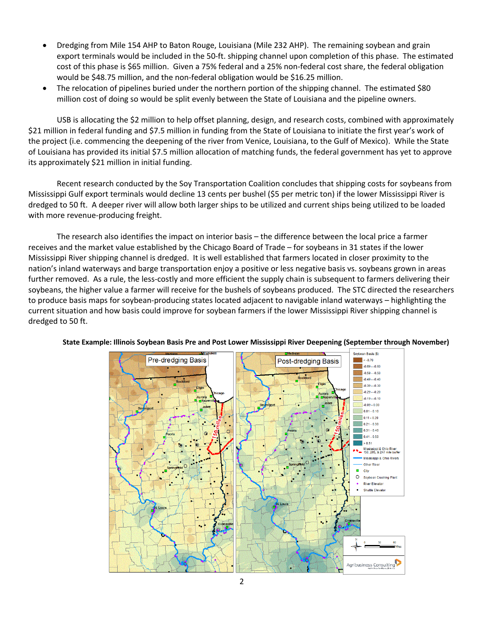- Dredging from Mile 154 AHP to Baton Rouge, Louisiana (Mile 232 AHP). The remaining soybean and grain export terminals would be included in the 50-ft. shipping channel upon completion of this phase. The estimated cost of this phase is \$65 million. Given a 75% federal and a 25% non-federal cost share, the federal obligation would be \$48.75 million, and the non-federal obligation would be \$16.25 million.
- The relocation of pipelines buried under the northern portion of the shipping channel. The estimated \$80 million cost of doing so would be split evenly between the State of Louisiana and the pipeline owners.

USB is allocating the \$2 million to help offset planning, design, and research costs, combined with approximately \$21 million in federal funding and \$7.5 million in funding from the State of Louisiana to initiate the first year's work of the project (i.e. commencing the deepening of the river from Venice, Louisiana, to the Gulf of Mexico). While the State of Louisiana has provided its initial \$7.5 million allocation of matching funds, the federal government has yet to approve its approximately \$21 million in initial funding.

Recent research conducted by the Soy Transportation Coalition concludes that shipping costs for soybeans from Mississippi Gulf export terminals would decline 13 cents per bushel (\$5 per metric ton) if the lower Mississippi River is dredged to 50 ft. A deeper river will allow both larger ships to be utilized and current ships being utilized to be loaded with more revenue-producing freight.

The research also identifies the impact on interior basis – the difference between the local price a farmer receives and the market value established by the Chicago Board of Trade – for soybeans in 31 states if the lower Mississippi River shipping channel is dredged. It is well established that farmers located in closer proximity to the nation's inland waterways and barge transportation enjoy a positive or less negative basis vs. soybeans grown in areas further removed. As a rule, the less-costly and more efficient the supply chain is subsequent to farmers delivering their soybeans, the higher value a farmer will receive for the bushels of soybeans produced. The STC directed the researchers to produce basis maps for soybean-producing states located adjacent to navigable inland waterways – highlighting the current situation and how basis could improve for soybean farmers if the lower Mississippi River shipping channel is dredged to 50 ft.



**State Example: Illinois Soybean Basis Pre and Post Lower Mississippi River Deepening (September through November)**